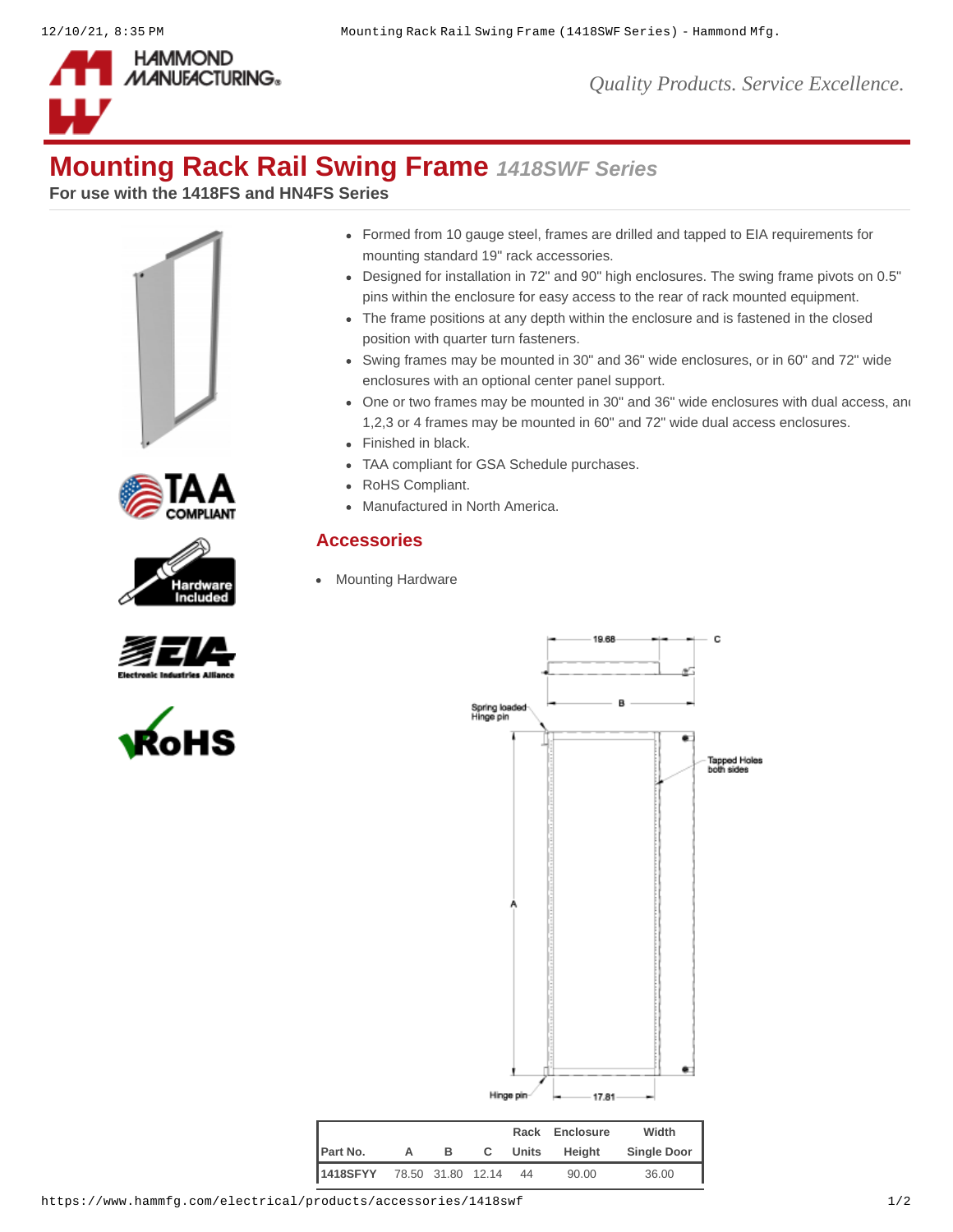

## **Mounting Rack Rail Swing Frame** *1418SWF Series*

**For use with the 1418FS and HN4FS Series**











- Formed from 10 gauge steel, frames are drilled and tapped to EIA requirements for mounting standard 19" rack accessories.
- Designed for installation in 72" and 90" high enclosures. The swing frame pivots on 0.5" pins within the enclosure for easy access to the rear of rack mounted equipment.
- The frame positions at any depth within the enclosure and is fastened in the closed position with quarter turn fasteners.
- Swing frames may be mounted in 30" and 36" wide enclosures, or in 60" and 72" wide enclosures with an optional center panel support.
- One or two frames may be mounted in 30" and 36" wide enclosures with dual access, and 1,2,3 or 4 frames may be mounted in 60" and 72" wide dual access enclosures.
- Finished in black.
- TAA compliant for GSA Schedule purchases.
- RoHS Compliant.
- Manufactured in North America.

## **Accessories**

[Mounting Hardware](https://www.hammfg.com/electrical/products/accessories/mounting-hardware?referer=465&itm_type=accessory)



|                            |   |   |    |       | Rack Enclosure | Width              |
|----------------------------|---|---|----|-------|----------------|--------------------|
| Part No.                   | A | в | C. | Units | Heiaht         | <b>Single Door</b> |
| 1418SFYY 78.50 31.80 12.14 |   |   |    | 44    | 90.00          | 36.00              |